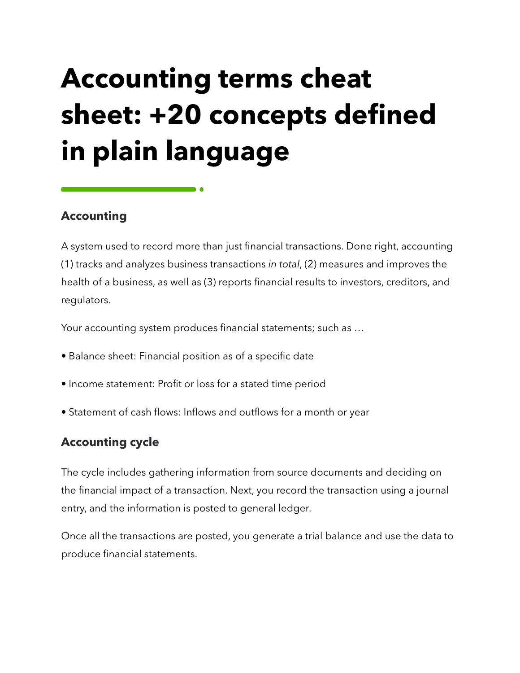# **Accounting terms cheat sheet: +20 concepts defined in plain language**

# **Accounting**

A system used to record more than just financial transactions. Done right, accounting (1) tracks and analyzes business transactions *in total*, (2) measures and improves the health of a business, as well as (3) reports financial results to investors, creditors, and regulators.

Your accounting system produces financial statements; such as …

- Balance sheet: Financial position as of a specific date
- Income statement: Profit or loss for a stated time period
- Statement of cash flows: Inflows and outflows for a month or year

# **Accounting cycle**

The cycle includes gathering information from source documents and deciding on the financial impact of a transaction. Next, you record the transaction using a journal entry, and the information is posted to general ledger.

Once all the transactions are posted, you generate a trial balance and use the data to produce financial statements.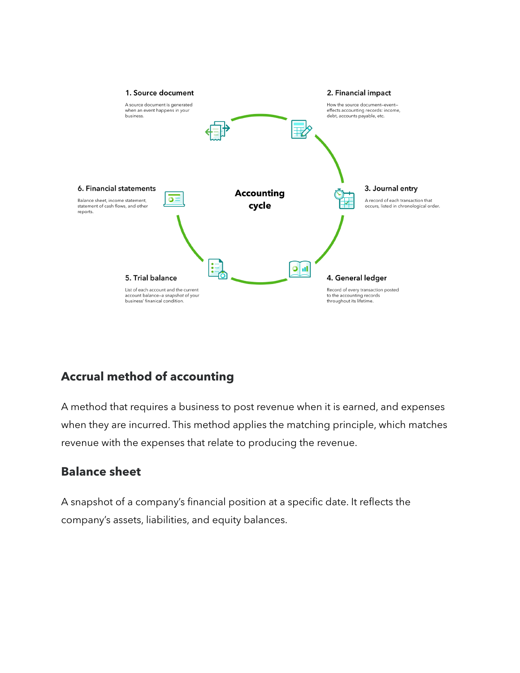

# **Accrual method of accounting**

A method that requires a business to post revenue when it is earned, and expenses when they are incurred. This method applies the matching principle, which matches revenue with the expenses that relate to producing the revenue.

# **Balance sheet**

A snapshot of a company's financial position at a specific date. It reflects the company's assets, liabilities, and equity balances.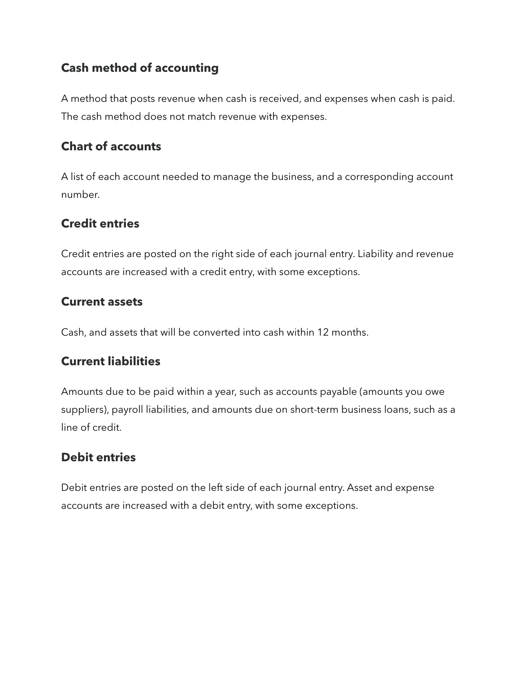# **Cash method of accounting**

A method that posts revenue when cash is received, and expenses when cash is paid. The cash method does not match revenue with expenses.

## **Chart of accounts**

A list of each account needed to manage the business, and a corresponding account number.

## **Credit entries**

Credit entries are posted on the right side of each journal entry. Liability and revenue accounts are increased with a credit entry, with some exceptions.

### **Current assets**

Cash, and assets that will be converted into cash within 12 months.

# **Current liabilities**

Amounts due to be paid within a year, such as accounts payable (amounts you owe suppliers), payroll liabilities, and amounts due on short-term business loans, such as a line of credit.

# **Debit entries**

Debit entries are posted on the left side of each journal entry. Asset and expense accounts are increased with a debit entry, with some exceptions.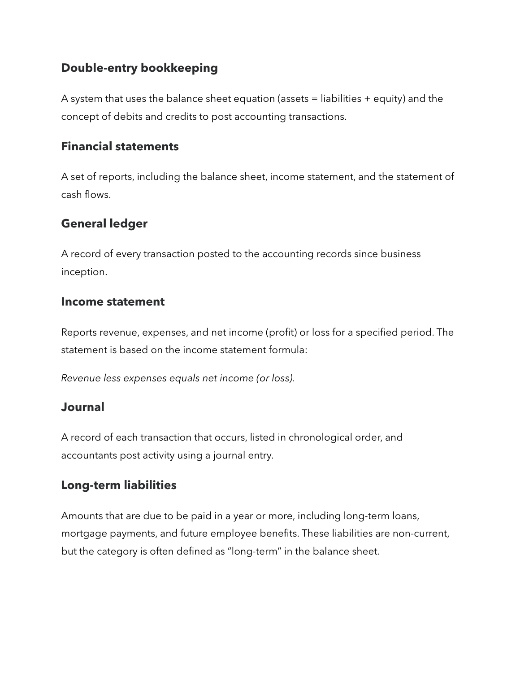## **Double-entry bookkeeping**

A system that uses the balance sheet equation (assets = liabilities + equity) and the concept of debits and credits to post accounting transactions.

#### **Financial statements**

A set of reports, including the balance sheet, income statement, and the statement of cash flows.

## **General ledger**

A record of every transaction posted to the accounting records since business inception.

#### **Income statement**

Reports revenue, expenses, and net income (profit) or loss for a specified period. The statement is based on the income statement formula:

*Revenue less expenses equals net income (or loss).* 

#### **Journal**

A record of each transaction that occurs, listed in chronological order, and accountants post activity using a journal entry.

### **Long-term liabilities**

Amounts that are due to be paid in a year or more, including long-term loans, mortgage payments, and future employee benefits. These liabilities are non-current, but the category is often defined as "long-term" in the balance sheet.